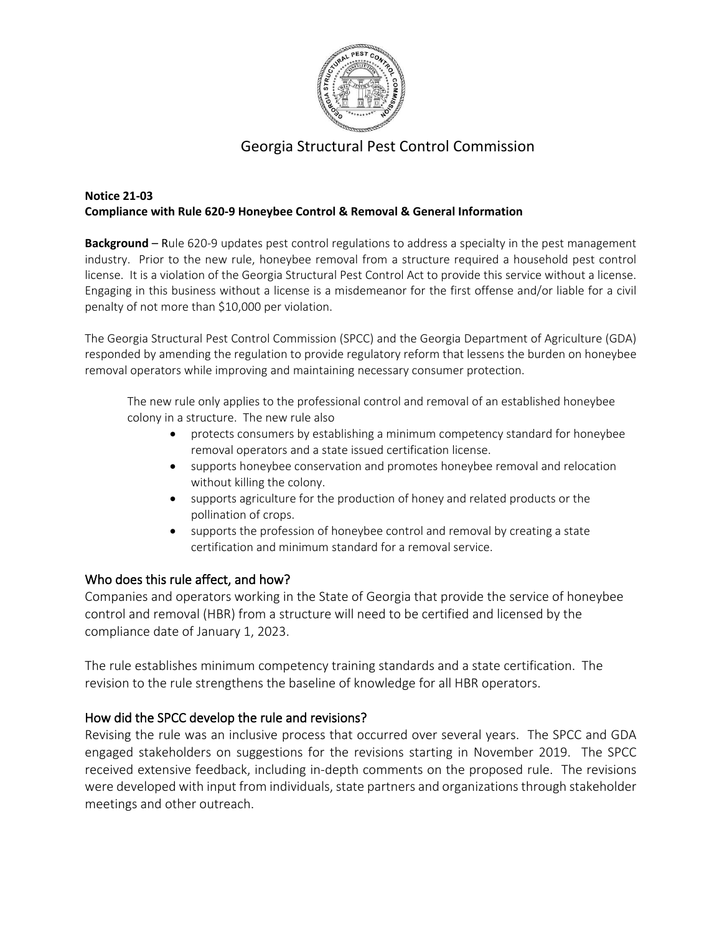

# Georgia Structural Pest Control Commission

#### **Notice 21-03 Compliance with Rule 620-9 Honeybee Control & Removal & General Information**

**Background** – Rule 620-9 updates pest control regulations to address a specialty in the pest management industry. Prior to the new rule, honeybee removal from a structure required a household pest control license. It is a violation of the Georgia Structural Pest Control Act to provide this service without a license. Engaging in this business without a license is a misdemeanor for the first offense and/or liable for a civil penalty of not more than \$10,000 per violation.

The Georgia Structural Pest Control Commission (SPCC) and the Georgia Department of Agriculture (GDA) responded by amending the regulation to provide regulatory reform that lessens the burden on honeybee removal operators while improving and maintaining necessary consumer protection.

The new rule only applies to the professional control and removal of an established honeybee colony in a structure. The new rule also

- protects consumers by establishing a minimum competency standard for honeybee removal operators and a state issued certification license.
- supports honeybee conservation and promotes honeybee removal and relocation without killing the colony.
- supports agriculture for the production of honey and related products or the pollination of crops.
- supports the profession of honeybee control and removal by creating a state certification and minimum standard for a removal service.

#### Who does this rule affect, and how?

Companies and operators working in the State of Georgia that provide the service of honeybee control and removal (HBR) from a structure will need to be certified and licensed by the compliance date of January 1, 2023.

The rule establishes minimum competency training standards and a state certification. The revision to the rule strengthens the baseline of knowledge for all HBR operators.

#### How did the SPCC develop the rule and revisions?

Revising the rule was an inclusive process that occurred over several years. The SPCC and GDA engaged stakeholders on suggestions for the revisions starting in November 2019. The SPCC received extensive feedback, including in-depth comments on the proposed rule. The revisions were developed with input from individuals, state partners and organizations through stakeholder meetings and other outreach.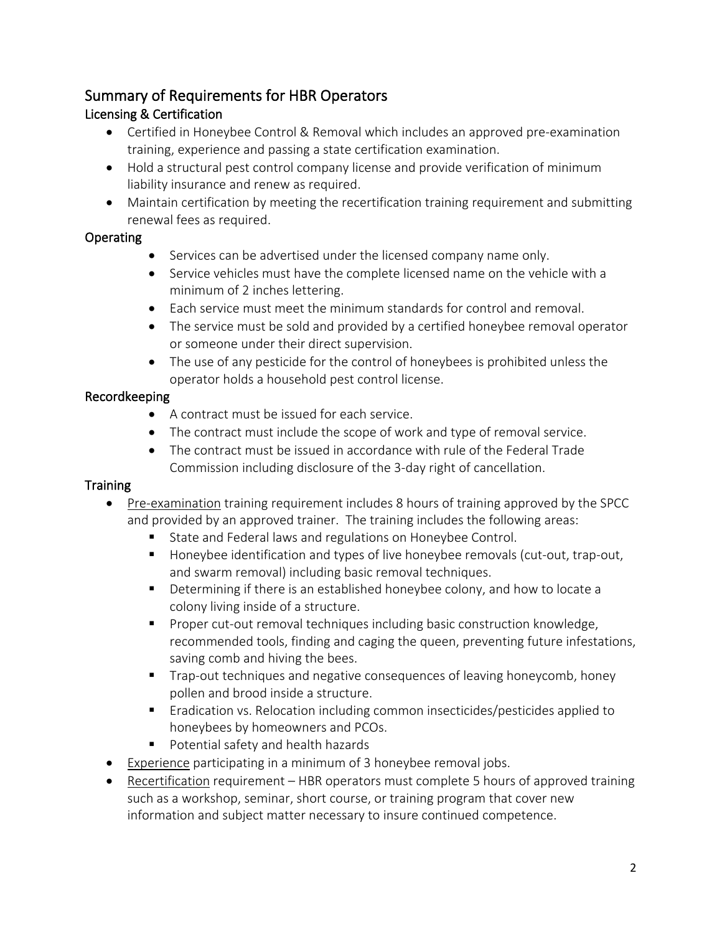# Summary of Requirements for HBR Operators

# Licensing & Certification

- Certified in Honeybee Control & Removal which includes an approved pre-examination training, experience and passing a state certification examination.
- Hold a structural pest control company license and provide verification of minimum liability insurance and renew as required.
- Maintain certification by meeting the recertification training requirement and submitting renewal fees as required.

## Operating

- Services can be advertised under the licensed company name only.
- Service vehicles must have the complete licensed name on the vehicle with a minimum of 2 inches lettering.
- Each service must meet the minimum standards for control and removal.
- The service must be sold and provided by a certified honeybee removal operator or someone under their direct supervision.
- The use of any pesticide for the control of honeybees is prohibited unless the operator holds a household pest control license.

# Recordkeeping

- A contract must be issued for each service.
- The contract must include the scope of work and type of removal service.
- The contract must be issued in accordance with rule of the Federal Trade Commission including disclosure of the 3-day right of cancellation.

## **Training**

- Pre-examination training requirement includes 8 hours of training approved by the SPCC and provided by an approved trainer. The training includes the following areas:
	- State and Federal laws and regulations on Honeybee Control.
	- **Honeybee identification and types of live honeybee removals (cut-out, trap-out,** and swarm removal) including basic removal techniques.
	- **Determining if there is an established honeybee colony, and how to locate a** colony living inside of a structure.
	- **Proper cut-out removal techniques including basic construction knowledge,** recommended tools, finding and caging the queen, preventing future infestations, saving comb and hiving the bees.
	- Trap-out techniques and negative consequences of leaving honeycomb, honey pollen and brood inside a structure.
	- **Examble 1** Eradication vs. Relocation including common insecticides/pesticides applied to honeybees by homeowners and PCOs.
	- **Potential safety and health hazards**
- Experience participating in a minimum of 3 honeybee removal jobs.
- Recertification requirement HBR operators must complete 5 hours of approved training such as a workshop, seminar, short course, or training program that cover new information and subject matter necessary to insure continued competence.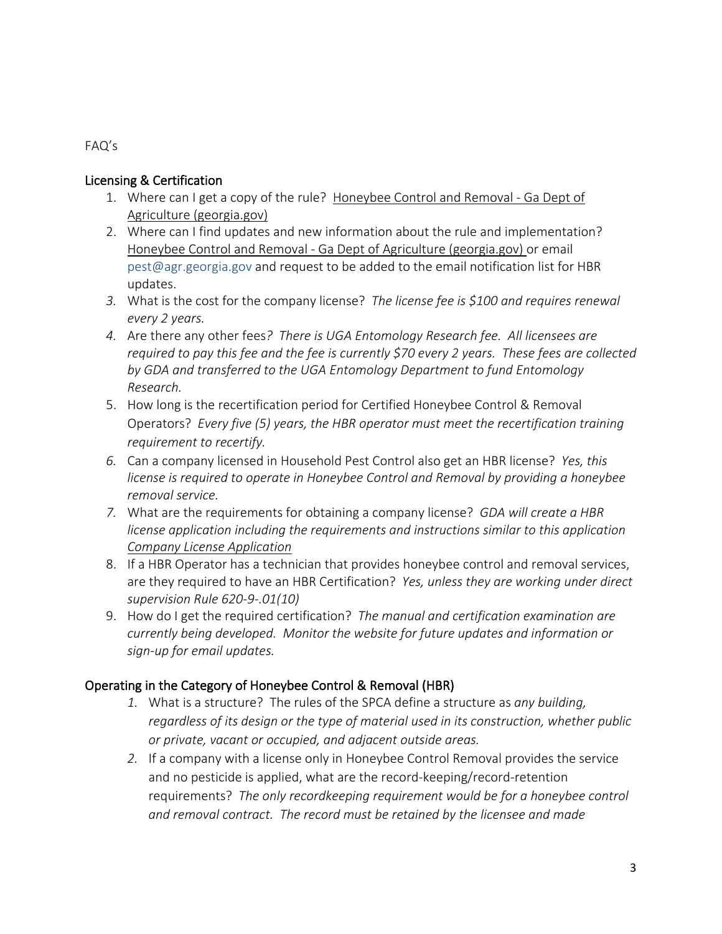FAQ's

#### Licensing & Certification

- 1. Where can I get a copy of the rule? [Honeybee Control and Removal -](http://agr.georgia.gov/honeybee-control-and-removal.aspx) Ga Dept of [Agriculture \(georgia.gov\)](http://agr.georgia.gov/honeybee-control-and-removal.aspx)
- 2. Where can I find updates and new information about the rule and implementation? Honeybee Control and Removal - [Ga Dept of Agriculture \(georgia.gov\)](http://agr.georgia.gov/honeybee-control-and-removal.aspx) or email [pest@agr.georgia.gov](mailto:pest@agr.georgia.gov) and request to be added to the email notification list for HBR updates.
- *3.* What is the cost for the company license? *The license fee is \$100 and requires renewal every 2 years.*
- *4.* Are there any other fees*? There is UGA Entomology Research fee. All licensees are required to pay this fee and the fee is currently \$70 every 2 years. These fees are collected by GDA and transferred to the UGA Entomology Department to fund Entomology Research.*
- 5. How long is the recertification period for Certified Honeybee Control & Removal Operators? *Every five (5) years, the HBR operator must meet the recertification training requirement to recertify.*
- *6.* Can a company licensed in Household Pest Control also get an HBR license? *Yes, this license is required to operate in Honeybee Control and Removal by providing a honeybee removal service.*
- *7.* What are the requirements for obtaining a company license? *GDA will create a HBR license application including the requirements and instructions similar to this application [Company License Application](http://agr.georgia.gov/Data/Sites/1/media/ag_plantindustry/structural_pest_control/files/sps-13-20-Company-License-Application.pdf)*
- 8. If a HBR Operator has a technician that provides honeybee control and removal services, are they required to have an HBR Certification? *Yes, unless they are working under direct supervision Rule 620-9-.01(10)*
- 9. How do I get the required certification? *The manual and certification examination are currently being developed. Monitor the website for future updates and information or sign-up for email updates.*

## Operating in the Category of Honeybee Control & Removal (HBR)

- *1.* What is a structure? The rules of the SPCA define a structure as *any building, regardless of its design or the type of material used in its construction, whether public or private, vacant or occupied, and adjacent outside areas.*
- *2.* If a company with a license only in Honeybee Control Removal provides the service and no pesticide is applied, what are the record-keeping/record-retention requirements? *The only recordkeeping requirement would be for a honeybee control and removal contract. The record must be retained by the licensee and made*